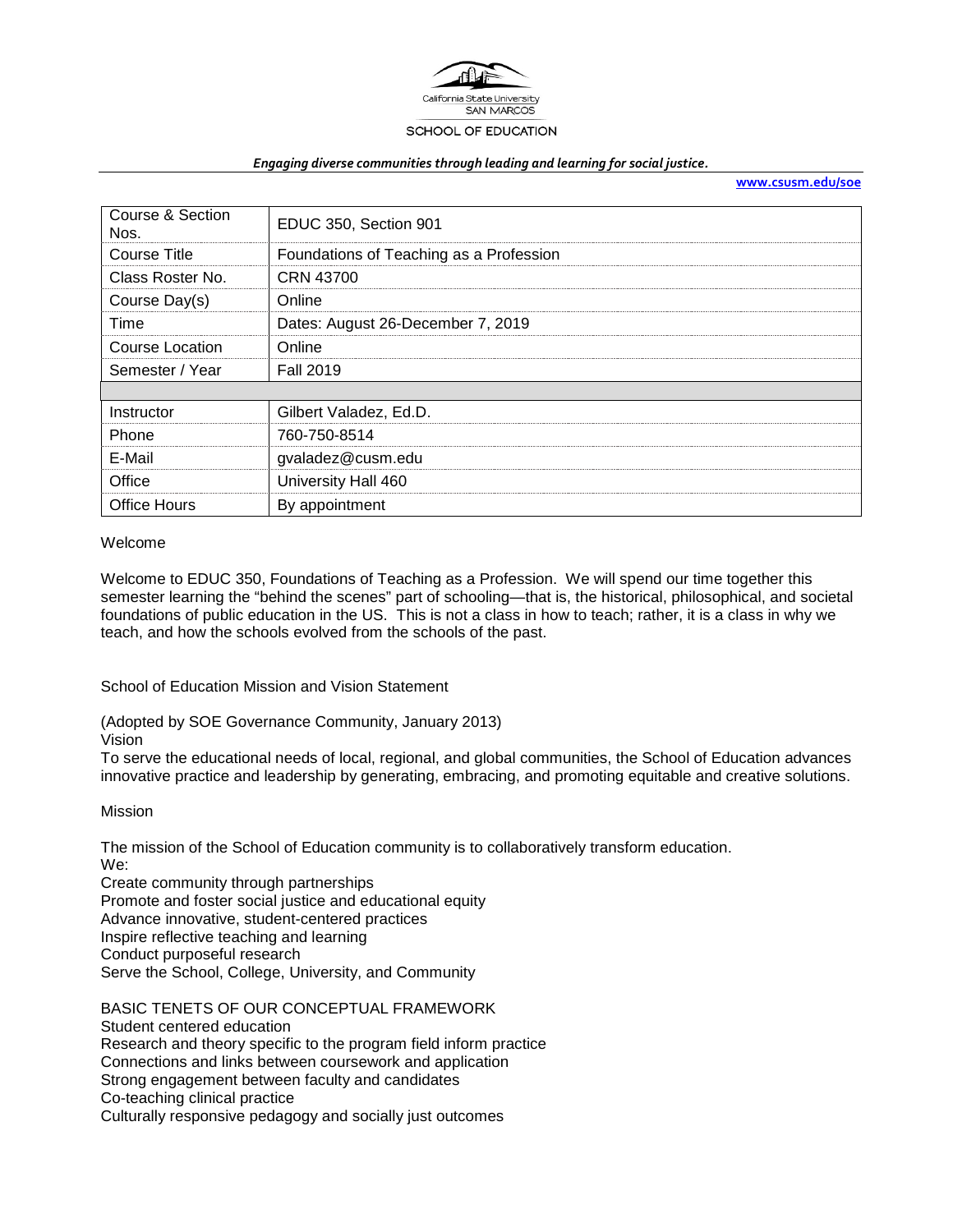

#### *Engaging diverse communities through leading and learning for social justice.*

**[www.csusm.edu/soe](http://www.csusm.edu/soe)**

| Course & Section<br>Nos. | EDUC 350, Section 901                   |  |  |
|--------------------------|-----------------------------------------|--|--|
| <b>Course Title</b>      | Foundations of Teaching as a Profession |  |  |
| Class Roster No.         | CRN 43700                               |  |  |
| Course Day(s)            | Online                                  |  |  |
| Time                     | Dates: August 26-December 7, 2019       |  |  |
| Course Location          | Online                                  |  |  |
| Semester / Year          | <b>Fall 2019</b>                        |  |  |
|                          |                                         |  |  |
| Instructor               | Gilbert Valadez, Ed.D.                  |  |  |
| Phone                    | 760-750-8514                            |  |  |
| E-Mail                   | gvaladez@cusm.edu                       |  |  |
| Office                   | University Hall 460                     |  |  |
| Office Hours             | By appointment                          |  |  |

#### Welcome

Welcome to EDUC 350, Foundations of Teaching as a Profession. We will spend our time together this semester learning the "behind the scenes" part of schooling—that is, the historical, philosophical, and societal foundations of public education in the US. This is not a class in how to teach; rather, it is a class in why we teach, and how the schools evolved from the schools of the past.

School of Education Mission and Vision Statement

(Adopted by SOE Governance Community, January 2013)

Vision

To serve the educational needs of local, regional, and global communities, the School of Education advances innovative practice and leadership by generating, embracing, and promoting equitable and creative solutions.

#### Mission

The mission of the School of Education community is to collaboratively transform education. We:

Create community through partnerships Promote and foster social justice and educational equity Advance innovative, student-centered practices Inspire reflective teaching and learning Conduct purposeful research Serve the School, College, University, and Community

BASIC TENETS OF OUR CONCEPTUAL FRAMEWORK Student centered education Research and theory specific to the program field inform practice Connections and links between coursework and application Strong engagement between faculty and candidates Co-teaching clinical practice Culturally responsive pedagogy and socially just outcomes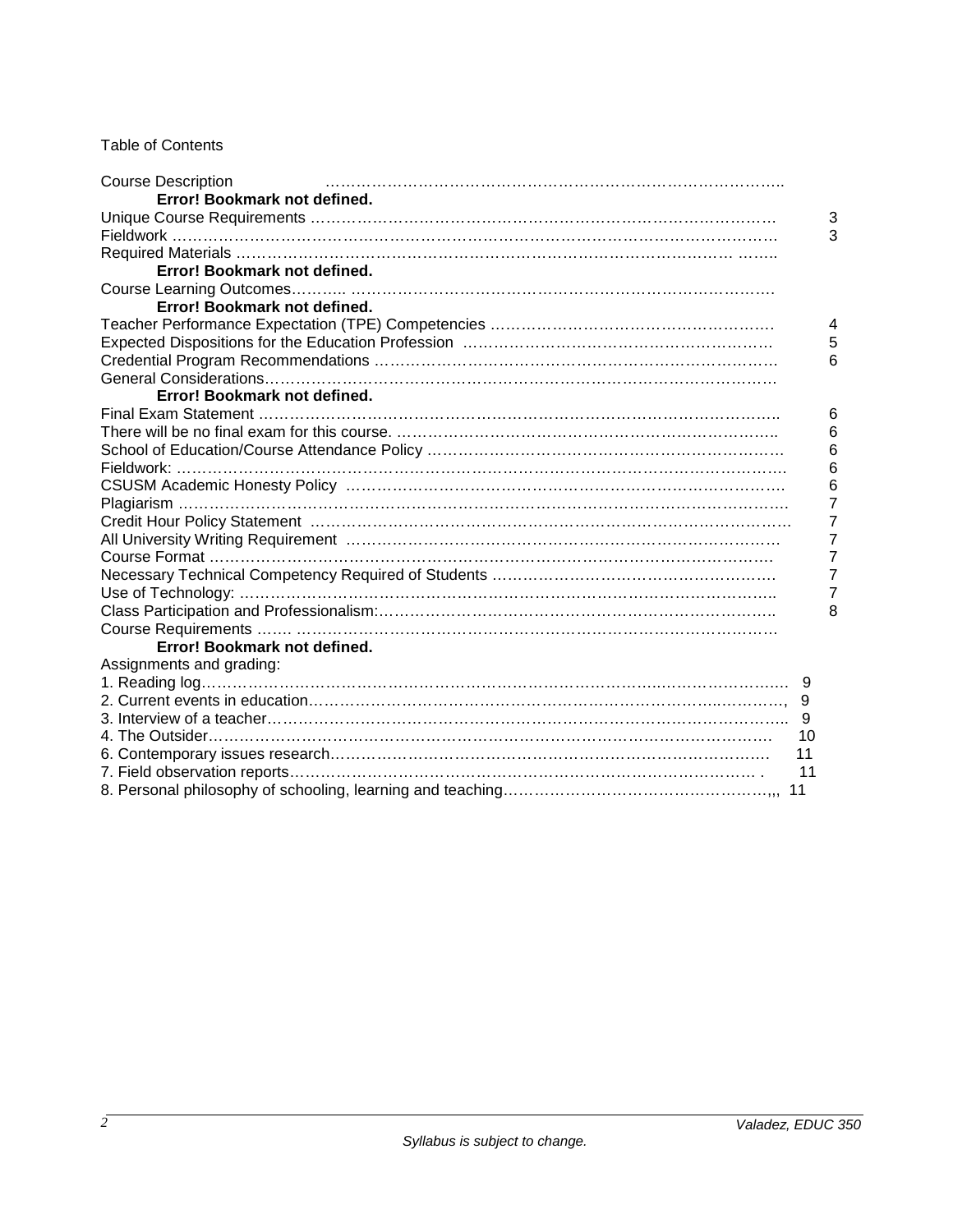# Table of Contents

| <b>Course Description</b>    |                |
|------------------------------|----------------|
| Error! Bookmark not defined. |                |
|                              | 3              |
|                              | 3              |
|                              |                |
| Error! Bookmark not defined. |                |
|                              |                |
| Error! Bookmark not defined. |                |
|                              | $\overline{4}$ |
|                              | 5              |
|                              | 6              |
|                              |                |
| Error! Bookmark not defined. |                |
|                              | 6              |
|                              | 6              |
|                              | 6              |
|                              | 6              |
|                              | 6              |
|                              | 7              |
|                              | 7              |
|                              | 7              |
|                              | 7              |
|                              | 7              |
|                              | 7              |
|                              | 8              |
|                              |                |
| Error! Bookmark not defined. |                |
| Assignments and grading:     |                |
|                              |                |
|                              |                |
|                              |                |
| 10                           |                |
| 11                           |                |
| 11                           |                |
| 11                           |                |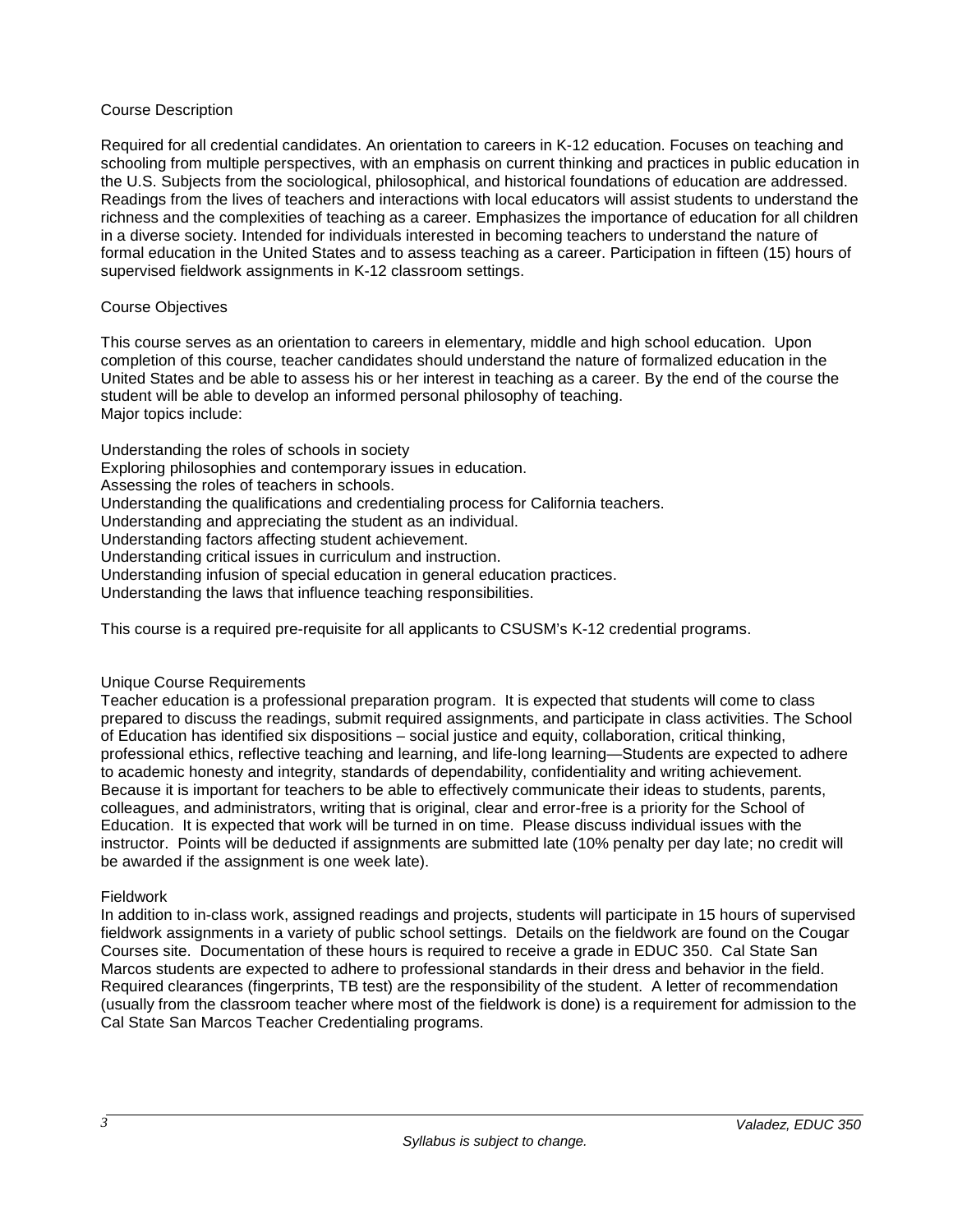### Course Description

Required for all credential candidates. An orientation to careers in K-12 education. Focuses on teaching and schooling from multiple perspectives, with an emphasis on current thinking and practices in public education in the U.S. Subjects from the sociological, philosophical, and historical foundations of education are addressed. Readings from the lives of teachers and interactions with local educators will assist students to understand the richness and the complexities of teaching as a career. Emphasizes the importance of education for all children in a diverse society. Intended for individuals interested in becoming teachers to understand the nature of formal education in the United States and to assess teaching as a career. Participation in fifteen (15) hours of supervised fieldwork assignments in K-12 classroom settings.

### Course Objectives

This course serves as an orientation to careers in elementary, middle and high school education. Upon completion of this course, teacher candidates should understand the nature of formalized education in the United States and be able to assess his or her interest in teaching as a career. By the end of the course the student will be able to develop an informed personal philosophy of teaching. Major topics include:

Understanding the roles of schools in society

Exploring philosophies and contemporary issues in education.

Assessing the roles of teachers in schools.

Understanding the qualifications and credentialing process for California teachers.

Understanding and appreciating the student as an individual.

Understanding factors affecting student achievement.

Understanding critical issues in curriculum and instruction.

Understanding infusion of special education in general education practices.

Understanding the laws that influence teaching responsibilities.

This course is a required pre-requisite for all applicants to CSUSM's K-12 credential programs.

#### Unique Course Requirements

Teacher education is a professional preparation program. It is expected that students will come to class prepared to discuss the readings, submit required assignments, and participate in class activities. The School of Education has identified six dispositions – social justice and equity, collaboration, critical thinking, professional ethics, reflective teaching and learning, and life-long learning—Students are expected to adhere to academic honesty and integrity, standards of dependability, confidentiality and writing achievement. Because it is important for teachers to be able to effectively communicate their ideas to students, parents, colleagues, and administrators, writing that is original, clear and error-free is a priority for the School of Education. It is expected that work will be turned in on time. Please discuss individual issues with the instructor. Points will be deducted if assignments are submitted late (10% penalty per day late; no credit will be awarded if the assignment is one week late).

#### Fieldwork

In addition to in-class work, assigned readings and projects, students will participate in 15 hours of supervised fieldwork assignments in a variety of public school settings. Details on the fieldwork are found on the Cougar Courses site. Documentation of these hours is required to receive a grade in EDUC 350. Cal State San Marcos students are expected to adhere to professional standards in their dress and behavior in the field. Required clearances (fingerprints, TB test) are the responsibility of the student. A letter of recommendation (usually from the classroom teacher where most of the fieldwork is done) is a requirement for admission to the Cal State San Marcos Teacher Credentialing programs.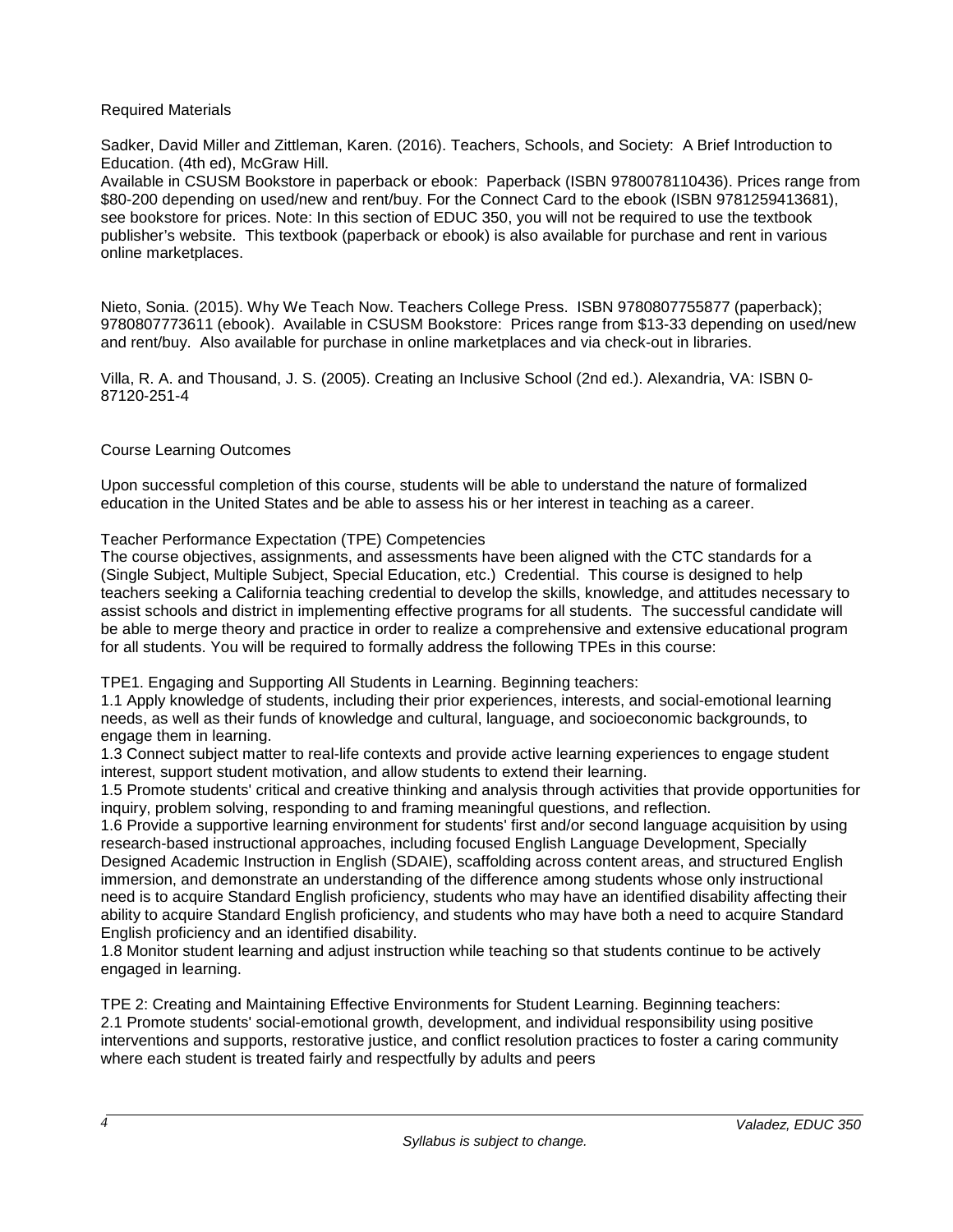### Required Materials

Sadker, David Miller and Zittleman, Karen. (2016). Teachers, Schools, and Society: A Brief Introduction to Education. (4th ed), McGraw Hill.

Available in CSUSM Bookstore in paperback or ebook: Paperback (ISBN 9780078110436). Prices range from \$80-200 depending on used/new and rent/buy. For the Connect Card to the ebook (ISBN 9781259413681), see bookstore for prices. Note: In this section of EDUC 350, you will not be required to use the textbook publisher's website. This textbook (paperback or ebook) is also available for purchase and rent in various online marketplaces.

Nieto, Sonia. (2015). Why We Teach Now. Teachers College Press. ISBN 9780807755877 (paperback); 9780807773611 (ebook). Available in CSUSM Bookstore: Prices range from \$13-33 depending on used/new and rent/buy. Also available for purchase in online marketplaces and via check-out in libraries.

Villa, R. A. and Thousand, J. S. (2005). Creating an Inclusive School (2nd ed.). Alexandria, VA: ISBN 0- 87120-251-4

### Course Learning Outcomes

Upon successful completion of this course, students will be able to understand the nature of formalized education in the United States and be able to assess his or her interest in teaching as a career.

#### Teacher Performance Expectation (TPE) Competencies

The course objectives, assignments, and assessments have been aligned with the CTC standards for a (Single Subject, Multiple Subject, Special Education, etc.) Credential. This course is designed to help teachers seeking a California teaching credential to develop the skills, knowledge, and attitudes necessary to assist schools and district in implementing effective programs for all students. The successful candidate will be able to merge theory and practice in order to realize a comprehensive and extensive educational program for all students. You will be required to formally address the following TPEs in this course:

TPE1. Engaging and Supporting All Students in Learning. Beginning teachers:

1.1 Apply knowledge of students, including their prior experiences, interests, and social-emotional learning needs, as well as their funds of knowledge and cultural, language, and socioeconomic backgrounds, to engage them in learning.

1.3 Connect subject matter to real-life contexts and provide active learning experiences to engage student interest, support student motivation, and allow students to extend their learning.

1.5 Promote students' critical and creative thinking and analysis through activities that provide opportunities for inquiry, problem solving, responding to and framing meaningful questions, and reflection.

1.6 Provide a supportive learning environment for students' first and/or second language acquisition by using research-based instructional approaches, including focused English Language Development, Specially Designed Academic Instruction in English (SDAIE), scaffolding across content areas, and structured English immersion, and demonstrate an understanding of the difference among students whose only instructional need is to acquire Standard English proficiency, students who may have an identified disability affecting their ability to acquire Standard English proficiency, and students who may have both a need to acquire Standard English proficiency and an identified disability.

1.8 Monitor student learning and adjust instruction while teaching so that students continue to be actively engaged in learning.

TPE 2: Creating and Maintaining Effective Environments for Student Learning. Beginning teachers: 2.1 Promote students' social-emotional growth, development, and individual responsibility using positive interventions and supports, restorative justice, and conflict resolution practices to foster a caring community where each student is treated fairly and respectfully by adults and peers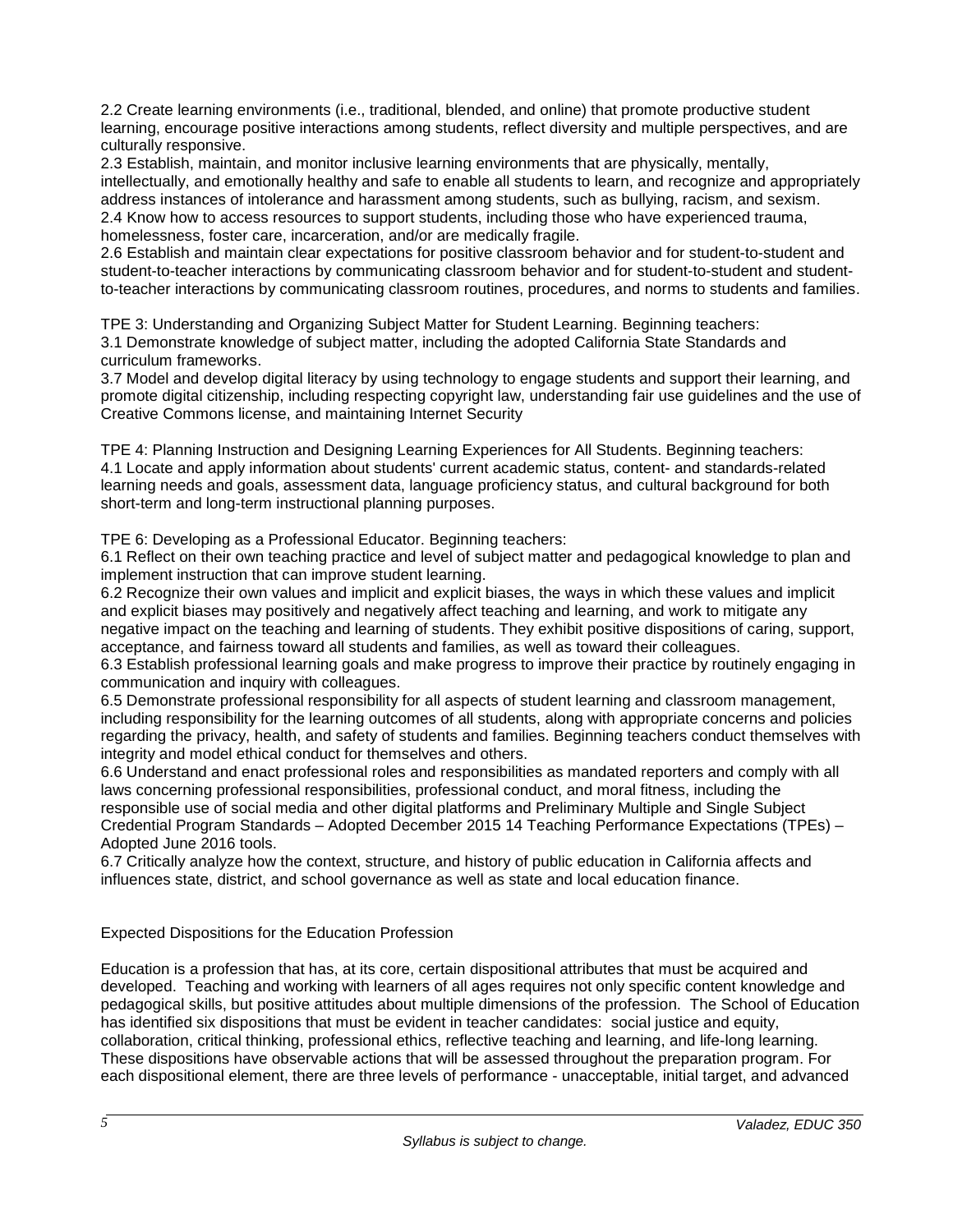2.2 Create learning environments (i.e., traditional, blended, and online) that promote productive student learning, encourage positive interactions among students, reflect diversity and multiple perspectives, and are culturally responsive.

2.3 Establish, maintain, and monitor inclusive learning environments that are physically, mentally, intellectually, and emotionally healthy and safe to enable all students to learn, and recognize and appropriately address instances of intolerance and harassment among students, such as bullying, racism, and sexism. 2.4 Know how to access resources to support students, including those who have experienced trauma, homelessness, foster care, incarceration, and/or are medically fragile.

2.6 Establish and maintain clear expectations for positive classroom behavior and for student-to-student and student-to-teacher interactions by communicating classroom behavior and for student-to-student and studentto-teacher interactions by communicating classroom routines, procedures, and norms to students and families.

TPE 3: Understanding and Organizing Subject Matter for Student Learning. Beginning teachers: 3.1 Demonstrate knowledge of subject matter, including the adopted California State Standards and curriculum frameworks.

3.7 Model and develop digital literacy by using technology to engage students and support their learning, and promote digital citizenship, including respecting copyright law, understanding fair use guidelines and the use of Creative Commons license, and maintaining Internet Security

TPE 4: Planning Instruction and Designing Learning Experiences for All Students. Beginning teachers: 4.1 Locate and apply information about students' current academic status, content- and standards-related learning needs and goals, assessment data, language proficiency status, and cultural background for both short-term and long-term instructional planning purposes.

TPE 6: Developing as a Professional Educator. Beginning teachers:

6.1 Reflect on their own teaching practice and level of subject matter and pedagogical knowledge to plan and implement instruction that can improve student learning.

6.2 Recognize their own values and implicit and explicit biases, the ways in which these values and implicit and explicit biases may positively and negatively affect teaching and learning, and work to mitigate any negative impact on the teaching and learning of students. They exhibit positive dispositions of caring, support, acceptance, and fairness toward all students and families, as well as toward their colleagues.

6.3 Establish professional learning goals and make progress to improve their practice by routinely engaging in communication and inquiry with colleagues.

6.5 Demonstrate professional responsibility for all aspects of student learning and classroom management, including responsibility for the learning outcomes of all students, along with appropriate concerns and policies regarding the privacy, health, and safety of students and families. Beginning teachers conduct themselves with integrity and model ethical conduct for themselves and others.

6.6 Understand and enact professional roles and responsibilities as mandated reporters and comply with all laws concerning professional responsibilities, professional conduct, and moral fitness, including the responsible use of social media and other digital platforms and Preliminary Multiple and Single Subject Credential Program Standards – Adopted December 2015 14 Teaching Performance Expectations (TPEs) – Adopted June 2016 tools.

6.7 Critically analyze how the context, structure, and history of public education in California affects and influences state, district, and school governance as well as state and local education finance.

# Expected Dispositions for the Education Profession

Education is a profession that has, at its core, certain dispositional attributes that must be acquired and developed. Teaching and working with learners of all ages requires not only specific content knowledge and pedagogical skills, but positive attitudes about multiple dimensions of the profession. The School of Education has identified six dispositions that must be evident in teacher candidates: social justice and equity, collaboration, critical thinking, professional ethics, reflective teaching and learning, and life-long learning. These dispositions have observable actions that will be assessed throughout the preparation program. For each dispositional element, there are three levels of performance - unacceptable, initial target, and advanced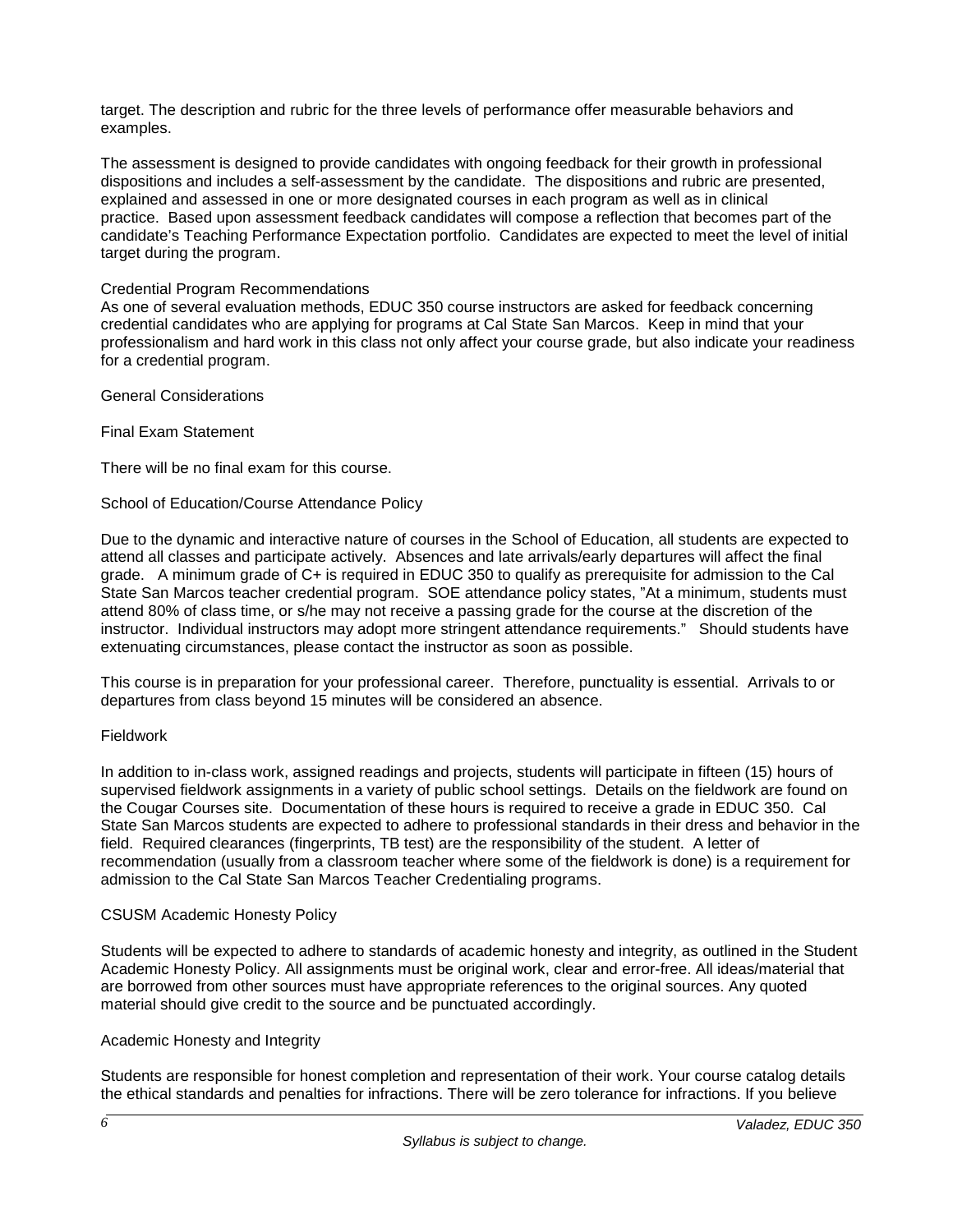target. The description and rubric for the three levels of performance offer measurable behaviors and examples.

The assessment is designed to provide candidates with ongoing feedback for their growth in professional dispositions and includes a self-assessment by the candidate. The dispositions and rubric are presented, explained and assessed in one or more designated courses in each program as well as in clinical practice. Based upon assessment feedback candidates will compose a reflection that becomes part of the candidate's Teaching Performance Expectation portfolio. Candidates are expected to meet the level of initial target during the program.

### Credential Program Recommendations

As one of several evaluation methods, EDUC 350 course instructors are asked for feedback concerning credential candidates who are applying for programs at Cal State San Marcos. Keep in mind that your professionalism and hard work in this class not only affect your course grade, but also indicate your readiness for a credential program.

#### General Considerations

Final Exam Statement

There will be no final exam for this course.

### School of Education/Course Attendance Policy

Due to the dynamic and interactive nature of courses in the School of Education, all students are expected to attend all classes and participate actively. Absences and late arrivals/early departures will affect the final grade. A minimum grade of C+ is required in EDUC 350 to qualify as prerequisite for admission to the Cal State San Marcos teacher credential program. SOE attendance policy states, "At a minimum, students must attend 80% of class time, or s/he may not receive a passing grade for the course at the discretion of the instructor. Individual instructors may adopt more stringent attendance requirements." Should students have extenuating circumstances, please contact the instructor as soon as possible.

This course is in preparation for your professional career. Therefore, punctuality is essential. Arrivals to or departures from class beyond 15 minutes will be considered an absence.

#### Fieldwork

In addition to in-class work, assigned readings and projects, students will participate in fifteen (15) hours of supervised fieldwork assignments in a variety of public school settings. Details on the fieldwork are found on the Cougar Courses site. Documentation of these hours is required to receive a grade in EDUC 350. Cal State San Marcos students are expected to adhere to professional standards in their dress and behavior in the field. Required clearances (fingerprints, TB test) are the responsibility of the student. A letter of recommendation (usually from a classroom teacher where some of the fieldwork is done) is a requirement for admission to the Cal State San Marcos Teacher Credentialing programs.

#### CSUSM Academic Honesty Policy

Students will be expected to adhere to standards of academic honesty and integrity, as outlined in the Student Academic Honesty Policy. All assignments must be original work, clear and error-free. All ideas/material that are borrowed from other sources must have appropriate references to the original sources. Any quoted material should give credit to the source and be punctuated accordingly.

#### Academic Honesty and Integrity

Students are responsible for honest completion and representation of their work. Your course catalog details the ethical standards and penalties for infractions. There will be zero tolerance for infractions. If you believe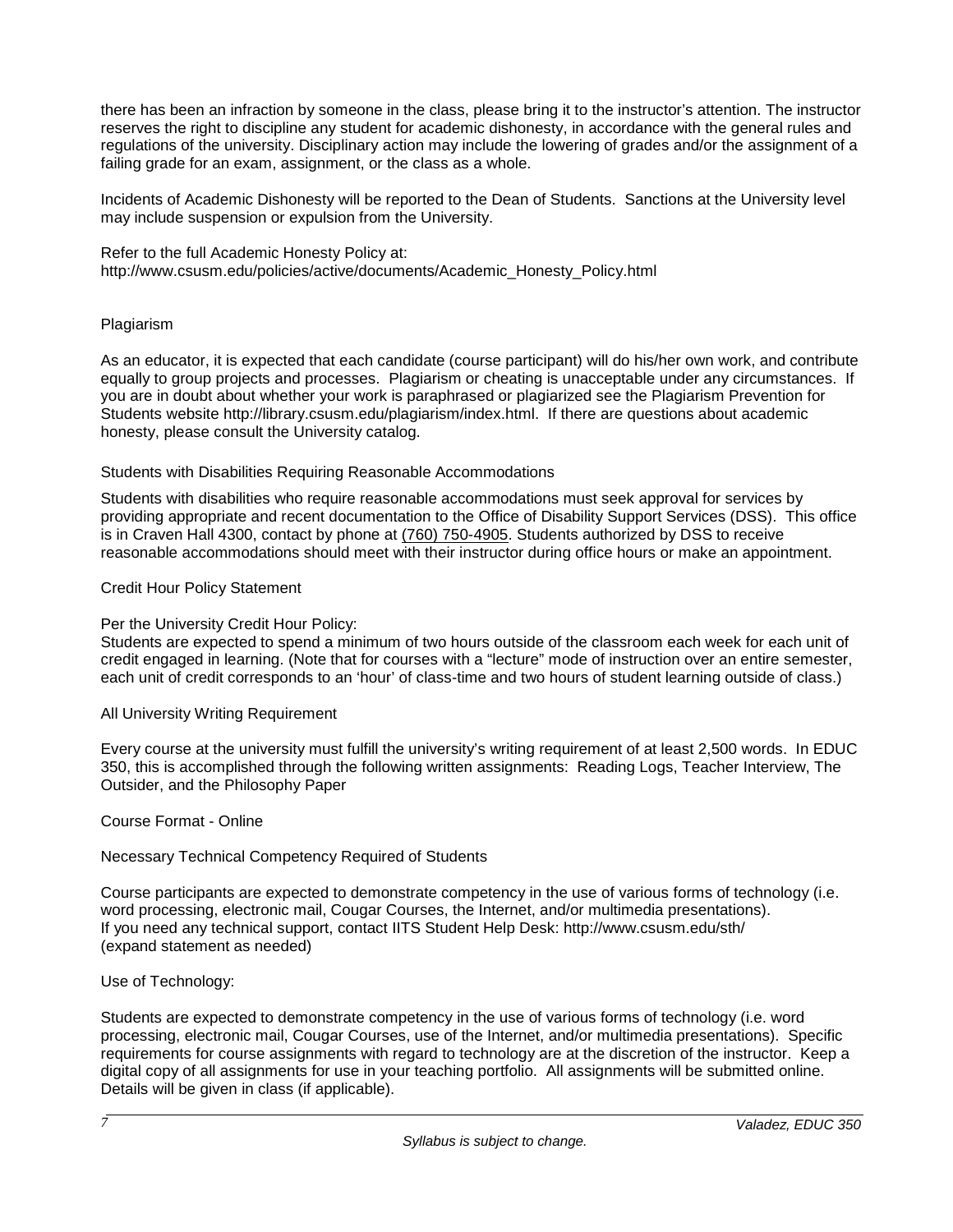there has been an infraction by someone in the class, please bring it to the instructor's attention. The instructor reserves the right to discipline any student for academic dishonesty, in accordance with the general rules and regulations of the university. Disciplinary action may include the lowering of grades and/or the assignment of a failing grade for an exam, assignment, or the class as a whole.

Incidents of Academic Dishonesty will be reported to the Dean of Students. Sanctions at the University level may include suspension or expulsion from the University.

Refer to the full Academic Honesty Policy at: [http://www.csusm.edu/policies/active/documents/Academic\\_Honesty\\_Policy.html](http://www.csusm.edu/policies/active/documents/Academic_Honesty_Policy.html)

### Plagiarism

As an educator, it is expected that each candidate (course participant) will do his/her own work, and contribute equally to group projects and processes. Plagiarism or cheating is unacceptable under any circumstances. If you are in doubt about whether your work is paraphrased or plagiarized see the Plagiarism Prevention for Students website [http://library.csusm.edu/plagiarism/index.html.](http://library.csusm.edu/plagiarism/index.html) If there are questions about academic honesty, please consult the University catalog.

### Students with Disabilities Requiring Reasonable Accommodations

Students with disabilities who require reasonable accommodations must seek approval for services by providing appropriate and recent documentation to the Office of Disability Support Services (DSS). This office is in Craven Hall 4300, contact by phone at [\(760\) 750-4905.](tel:(760)%20750-4905) Students authorized by DSS to receive reasonable accommodations should meet with their instructor during office hours or make an appointment.

### Credit Hour Policy Statement

### Per the University Credit Hour Policy:

Students are expected to spend a minimum of two hours outside of the classroom each week for each unit of credit engaged in learning. (Note that for courses with a "lecture" mode of instruction over an entire semester, each unit of credit corresponds to an 'hour' of class-time and two hours of student learning outside of class.)

#### All University Writing Requirement

Every course at the university must fulfill the university's writing requirement of at least 2,500 words. In EDUC 350, this is accomplished through the following written assignments: Reading Logs, Teacher Interview, The Outsider, and the Philosophy Paper

Course Format - Online

Necessary Technical Competency Required of Students

Course participants are expected to demonstrate competency in the use of various forms of technology (i.e. word processing, electronic mail, Cougar Courses, the Internet, and/or multimedia presentations). If you need any technical support, contact IITS Student Help Desk:<http://www.csusm.edu/sth/> (expand statement as needed)

Use of Technology:

Students are expected to demonstrate competency in the use of various forms of technology (i.e. word processing, electronic mail, Cougar Courses, use of the Internet, and/or multimedia presentations). Specific requirements for course assignments with regard to technology are at the discretion of the instructor. Keep a digital copy of all assignments for use in your teaching portfolio. All assignments will be submitted online. Details will be given in class (if applicable).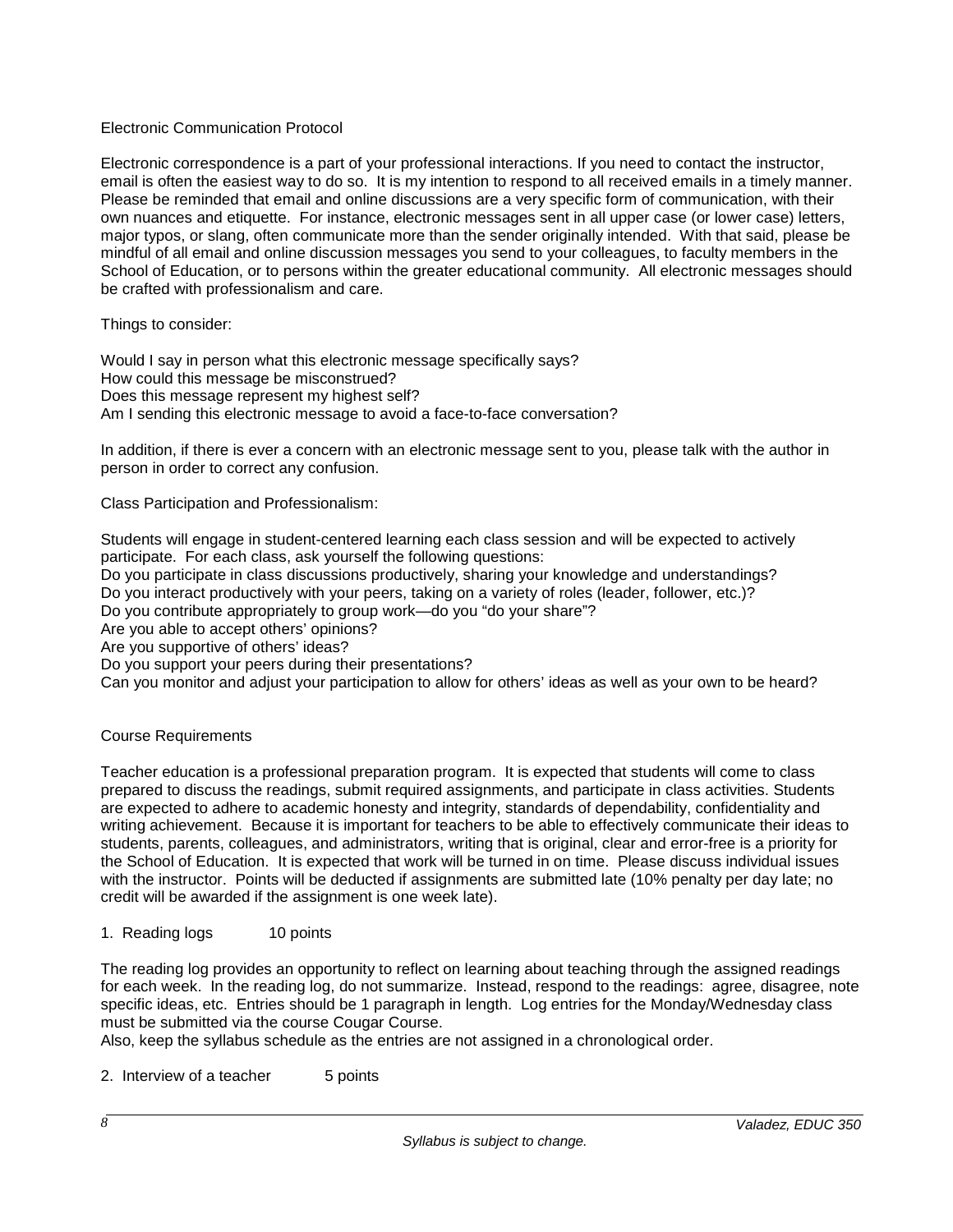### Electronic Communication Protocol

Electronic correspondence is a part of your professional interactions. If you need to contact the instructor, email is often the easiest way to do so. It is my intention to respond to all received emails in a timely manner. Please be reminded that email and online discussions are a very specific form of communication, with their own nuances and etiquette. For instance, electronic messages sent in all upper case (or lower case) letters, major typos, or slang, often communicate more than the sender originally intended. With that said, please be mindful of all email and online discussion messages you send to your colleagues, to faculty members in the School of Education, or to persons within the greater educational community. All electronic messages should be crafted with professionalism and care.

Things to consider:

Would I say in person what this electronic message specifically says? How could this message be misconstrued? Does this message represent my highest self? Am I sending this electronic message to avoid a face-to-face conversation?

In addition, if there is ever a concern with an electronic message sent to you, please talk with the author in person in order to correct any confusion.

Class Participation and Professionalism:

Students will engage in student-centered learning each class session and will be expected to actively participate. For each class, ask yourself the following questions:

Do you participate in class discussions productively, sharing your knowledge and understandings?

Do you interact productively with your peers, taking on a variety of roles (leader, follower, etc.)?

Do you contribute appropriately to group work—do you "do your share"?

Are you able to accept others' opinions?

Are you supportive of others' ideas?

Do you support your peers during their presentations?

Can you monitor and adjust your participation to allow for others' ideas as well as your own to be heard?

# Course Requirements

Teacher education is a professional preparation program. It is expected that students will come to class prepared to discuss the readings, submit required assignments, and participate in class activities. Students are expected to adhere to academic honesty and integrity, standards of dependability, confidentiality and writing achievement. Because it is important for teachers to be able to effectively communicate their ideas to students, parents, colleagues, and administrators, writing that is original, clear and error-free is a priority for the School of Education. It is expected that work will be turned in on time. Please discuss individual issues with the instructor. Points will be deducted if assignments are submitted late (10% penalty per day late; no credit will be awarded if the assignment is one week late).

1. Reading logs 10 points

The reading log provides an opportunity to reflect on learning about teaching through the assigned readings for each week. In the reading log, do not summarize. Instead, respond to the readings: agree, disagree, note specific ideas, etc. Entries should be 1 paragraph in length. Log entries for the Monday/Wednesday class must be submitted via the course Cougar Course.

Also, keep the syllabus schedule as the entries are not assigned in a chronological order.

2. Interview of a teacher 5 points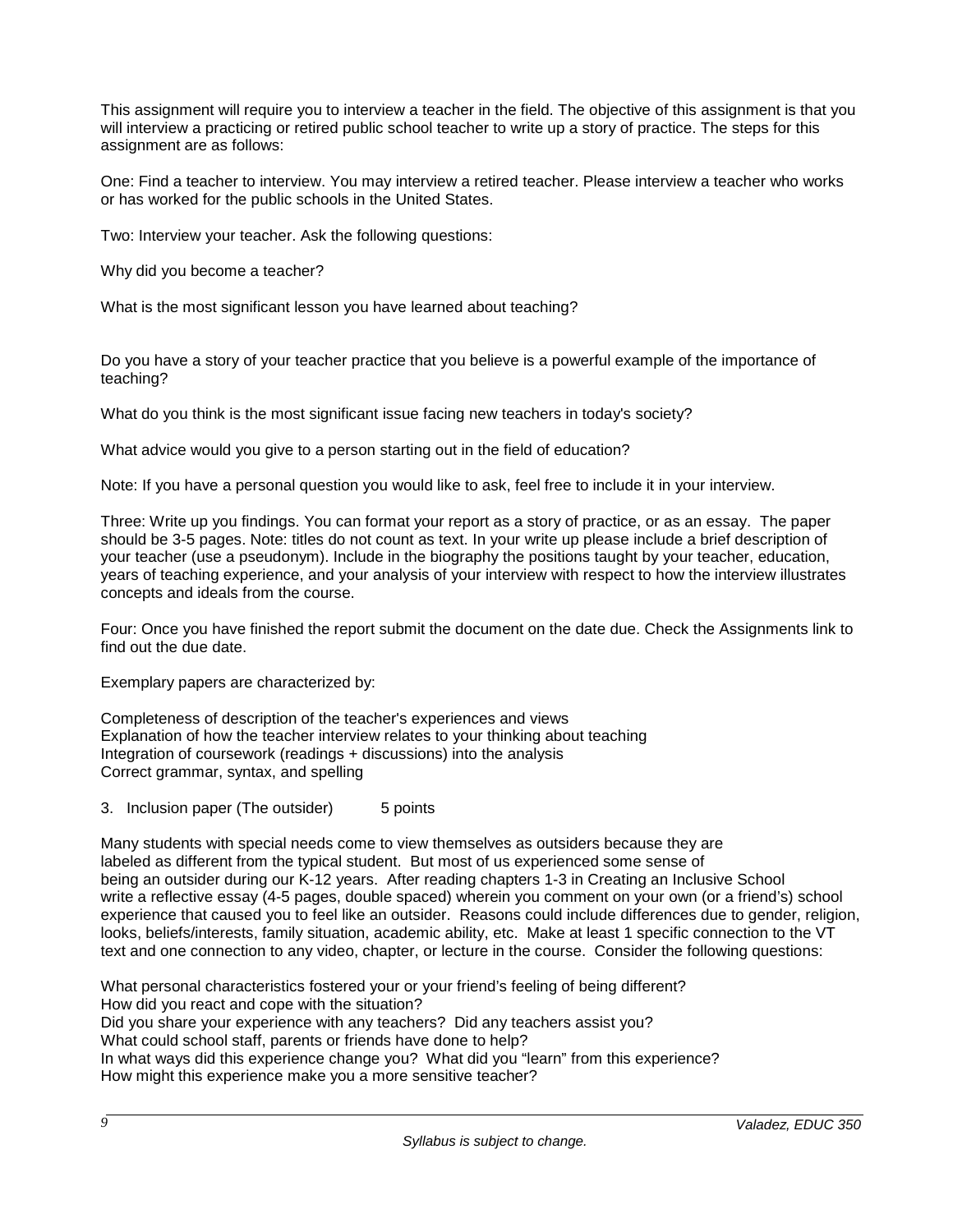This assignment will require you to interview a teacher in the field. The objective of this assignment is that you will interview a practicing or retired public school teacher to write up a story of practice. The steps for this assignment are as follows:

One: Find a teacher to interview. You may interview a retired teacher. Please interview a teacher who works or has worked for the public schools in the United States.

Two: Interview your teacher. Ask the following questions:

Why did you become a teacher?

What is the most significant lesson you have learned about teaching?

Do you have a story of your teacher practice that you believe is a powerful example of the importance of teaching?

What do you think is the most significant issue facing new teachers in today's society?

What advice would you give to a person starting out in the field of education?

Note: If you have a personal question you would like to ask, feel free to include it in your interview.

Three: Write up you findings. You can format your report as a story of practice, or as an essay. The paper should be 3-5 pages. Note: titles do not count as text. In your write up please include a brief description of your teacher (use a pseudonym). Include in the biography the positions taught by your teacher, education, years of teaching experience, and your analysis of your interview with respect to how the interview illustrates concepts and ideals from the course.

Four: Once you have finished the report submit the document on the date due. Check the Assignments link to find out the due date.

Exemplary papers are characterized by:

Completeness of description of the teacher's experiences and views Explanation of how the teacher interview relates to your thinking about teaching Integration of coursework (readings + discussions) into the analysis Correct grammar, syntax, and spelling

3. Inclusion paper (The outsider) 5 points

Many students with special needs come to view themselves as outsiders because they are labeled as different from the typical student. But most of us experienced some sense of being an outsider during our K-12 years. After reading chapters 1-3 in Creating an Inclusive School write a reflective essay (4-5 pages, double spaced) wherein you comment on your own (or a friend's) school experience that caused you to feel like an outsider. Reasons could include differences due to gender, religion, looks, beliefs/interests, family situation, academic ability, etc. Make at least 1 specific connection to the VT text and one connection to any video, chapter, or lecture in the course. Consider the following questions:

What personal characteristics fostered your or your friend's feeling of being different? How did you react and cope with the situation? Did you share your experience with any teachers? Did any teachers assist you? What could school staff, parents or friends have done to help? In what ways did this experience change you? What did you "learn" from this experience? How might this experience make you a more sensitive teacher?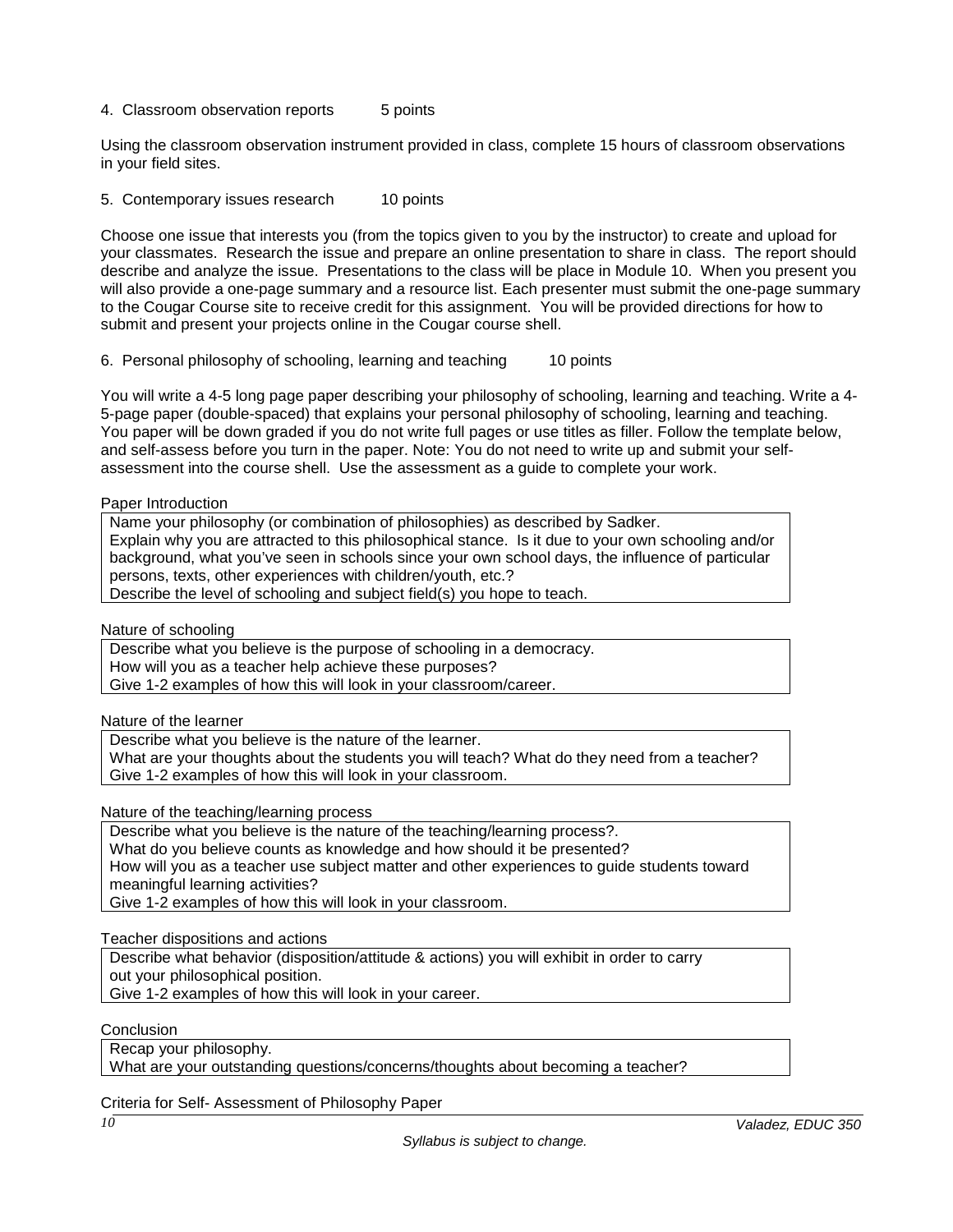4. Classroom observation reports 5 points

Using the classroom observation instrument provided in class, complete 15 hours of classroom observations in your field sites.

5. Contemporary issues research 10 points

Choose one issue that interests you (from the topics given to you by the instructor) to create and upload for your classmates. Research the issue and prepare an online presentation to share in class. The report should describe and analyze the issue. Presentations to the class will be place in Module 10. When you present you will also provide a one-page summary and a resource list. Each presenter must submit the one-page summary to the Cougar Course site to receive credit for this assignment. You will be provided directions for how to submit and present your projects online in the Cougar course shell.

6. Personal philosophy of schooling, learning and teaching 10 points

You will write a 4-5 long page paper describing your philosophy of schooling, learning and teaching. Write a 4- 5-page paper (double-spaced) that explains your personal philosophy of schooling, learning and teaching. You paper will be down graded if you do not write full pages or use titles as filler. Follow the template below, and self-assess before you turn in the paper. Note: You do not need to write up and submit your selfassessment into the course shell. Use the assessment as a guide to complete your work.

#### Paper Introduction

Name your philosophy (or combination of philosophies) as described by Sadker. Explain why you are attracted to this philosophical stance. Is it due to your own schooling and/or background, what you've seen in schools since your own school days, the influence of particular persons, texts, other experiences with children/youth, etc.? Describe the level of schooling and subject field(s) you hope to teach.

Nature of schooling

Describe what you believe is the purpose of schooling in a democracy.

How will you as a teacher help achieve these purposes?

Give 1-2 examples of how this will look in your classroom/career.

Nature of the learner

Describe what you believe is the nature of the learner.

What are your thoughts about the students you will teach? What do they need from a teacher? Give 1-2 examples of how this will look in your classroom.

Nature of the teaching/learning process

Describe what you believe is the nature of the teaching/learning process?.

What do you believe counts as knowledge and how should it be presented?

How will you as a teacher use subject matter and other experiences to guide students toward meaningful learning activities?

Give 1-2 examples of how this will look in your classroom.

Teacher dispositions and actions

Describe what behavior (disposition/attitude & actions) you will exhibit in order to carry

out your philosophical position.

Give 1-2 examples of how this will look in your career.

Conclusion

Recap your philosophy.

What are your outstanding questions/concerns/thoughts about becoming a teacher?

Criteria for Self- Assessment of Philosophy Paper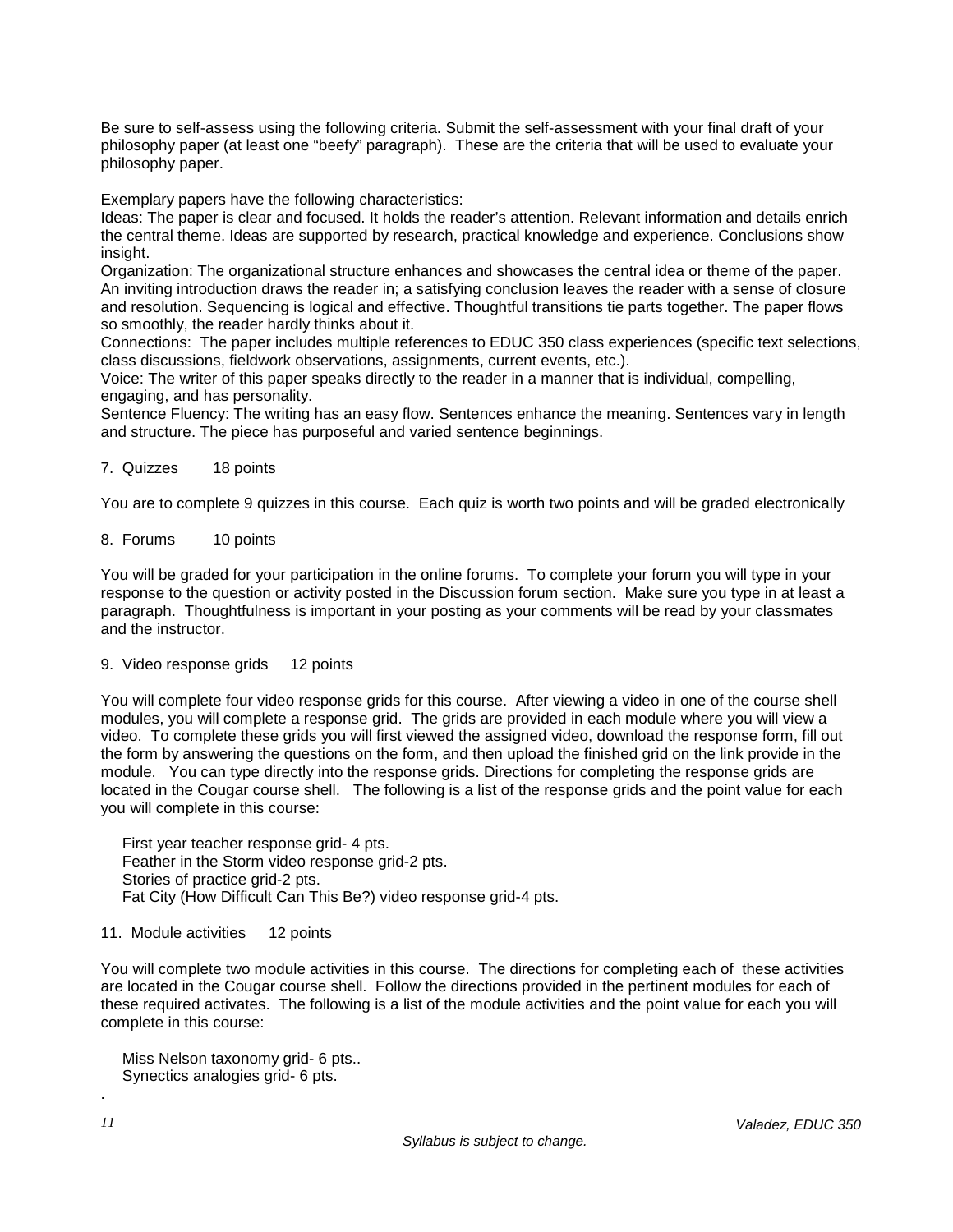Be sure to self-assess using the following criteria. Submit the self-assessment with your final draft of your philosophy paper (at least one "beefy" paragraph). These are the criteria that will be used to evaluate your philosophy paper.

Exemplary papers have the following characteristics:

Ideas: The paper is clear and focused. It holds the reader's attention. Relevant information and details enrich the central theme. Ideas are supported by research, practical knowledge and experience. Conclusions show insight.

Organization: The organizational structure enhances and showcases the central idea or theme of the paper. An inviting introduction draws the reader in; a satisfying conclusion leaves the reader with a sense of closure and resolution. Sequencing is logical and effective. Thoughtful transitions tie parts together. The paper flows so smoothly, the reader hardly thinks about it.

Connections: The paper includes multiple references to EDUC 350 class experiences (specific text selections, class discussions, fieldwork observations, assignments, current events, etc.).

Voice: The writer of this paper speaks directly to the reader in a manner that is individual, compelling, engaging, and has personality.

Sentence Fluency: The writing has an easy flow. Sentences enhance the meaning. Sentences vary in length and structure. The piece has purposeful and varied sentence beginnings.

#### 7. Quizzes 18 points

You are to complete 9 quizzes in this course. Each quiz is worth two points and will be graded electronically

### 8. Forums 10 points

You will be graded for your participation in the online forums. To complete your forum you will type in your response to the question or activity posted in the Discussion forum section. Make sure you type in at least a paragraph. Thoughtfulness is important in your posting as your comments will be read by your classmates and the instructor.

#### 9. Video response grids 12 points

You will complete four video response grids for this course. After viewing a video in one of the course shell modules, you will complete a response grid. The grids are provided in each module where you will view a video. To complete these grids you will first viewed the assigned video, download the response form, fill out the form by answering the questions on the form, and then upload the finished grid on the link provide in the module. You can type directly into the response grids. Directions for completing the response grids are located in the Cougar course shell. The following is a list of the response grids and the point value for each you will complete in this course:

 First year teacher response grid- 4 pts. Feather in the Storm video response grid-2 pts. Stories of practice grid-2 pts. Fat City (How Difficult Can This Be?) video response grid-4 pts.

#### 11. Module activities 12 points

You will complete two module activities in this course. The directions for completing each of these activities are located in the Cougar course shell. Follow the directions provided in the pertinent modules for each of these required activates. The following is a list of the module activities and the point value for each you will complete in this course:

 Miss Nelson taxonomy grid- 6 pts.. Synectics analogies grid- 6 pts.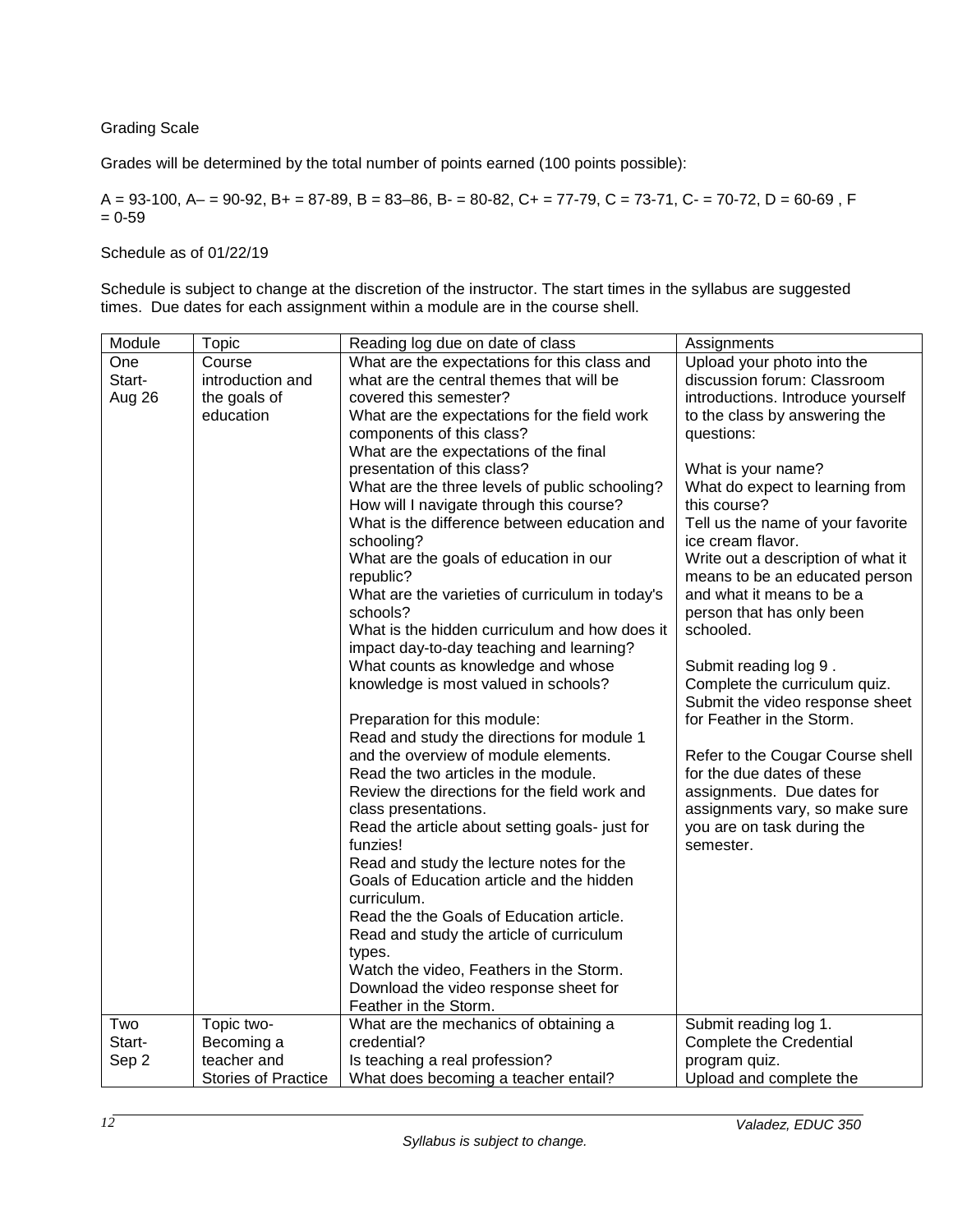# Grading Scale

Grades will be determined by the total number of points earned (100 points possible):

 $A = 93-100$ ,  $A = 90-92$ ,  $B = 87-89$ ,  $B = 83-86$ ,  $B = 80-82$ ,  $C = 77-79$ ,  $C = 73-71$ ,  $C = 70-72$ ,  $D = 60-69$ , F  $= 0 - 59$ 

Schedule as of 01/22/19

Schedule is subject to change at the discretion of the instructor. The start times in the syllabus are suggested times. Due dates for each assignment within a module are in the course shell.

| Module | Topic                      | Reading log due on date of class                | Assignments                        |
|--------|----------------------------|-------------------------------------------------|------------------------------------|
| One    | Course                     | What are the expectations for this class and    | Upload your photo into the         |
| Start- | introduction and           | what are the central themes that will be        | discussion forum: Classroom        |
| Aug 26 | the goals of               | covered this semester?                          | introductions. Introduce yourself  |
|        | education                  | What are the expectations for the field work    | to the class by answering the      |
|        |                            | components of this class?                       | questions:                         |
|        |                            | What are the expectations of the final          |                                    |
|        |                            | presentation of this class?                     | What is your name?                 |
|        |                            | What are the three levels of public schooling?  | What do expect to learning from    |
|        |                            | How will I navigate through this course?        | this course?                       |
|        |                            | What is the difference between education and    | Tell us the name of your favorite  |
|        |                            | schooling?                                      | ice cream flavor.                  |
|        |                            | What are the goals of education in our          | Write out a description of what it |
|        |                            | republic?                                       | means to be an educated person     |
|        |                            | What are the varieties of curriculum in today's | and what it means to be a          |
|        |                            | schools?                                        | person that has only been          |
|        |                            | What is the hidden curriculum and how does it   | schooled.                          |
|        |                            | impact day-to-day teaching and learning?        |                                    |
|        |                            | What counts as knowledge and whose              | Submit reading log 9.              |
|        |                            | knowledge is most valued in schools?            | Complete the curriculum quiz.      |
|        |                            |                                                 | Submit the video response sheet    |
|        |                            | Preparation for this module:                    | for Feather in the Storm.          |
|        |                            | Read and study the directions for module 1      |                                    |
|        |                            | and the overview of module elements.            | Refer to the Cougar Course shell   |
|        |                            | Read the two articles in the module.            | for the due dates of these         |
|        |                            | Review the directions for the field work and    | assignments. Due dates for         |
|        |                            | class presentations.                            | assignments vary, so make sure     |
|        |                            | Read the article about setting goals- just for  | you are on task during the         |
|        |                            | funzies!                                        | semester.                          |
|        |                            | Read and study the lecture notes for the        |                                    |
|        |                            | Goals of Education article and the hidden       |                                    |
|        |                            | curriculum.                                     |                                    |
|        |                            | Read the the Goals of Education article.        |                                    |
|        |                            | Read and study the article of curriculum        |                                    |
|        |                            | types.                                          |                                    |
|        |                            | Watch the video, Feathers in the Storm.         |                                    |
|        |                            | Download the video response sheet for           |                                    |
|        |                            | Feather in the Storm.                           |                                    |
| Two    | Topic two-                 | What are the mechanics of obtaining a           | Submit reading log 1.              |
| Start- | Becoming a                 | credential?                                     | <b>Complete the Credential</b>     |
| Sep 2  | teacher and                | Is teaching a real profession?                  | program quiz.                      |
|        | <b>Stories of Practice</b> | What does becoming a teacher entail?            | Upload and complete the            |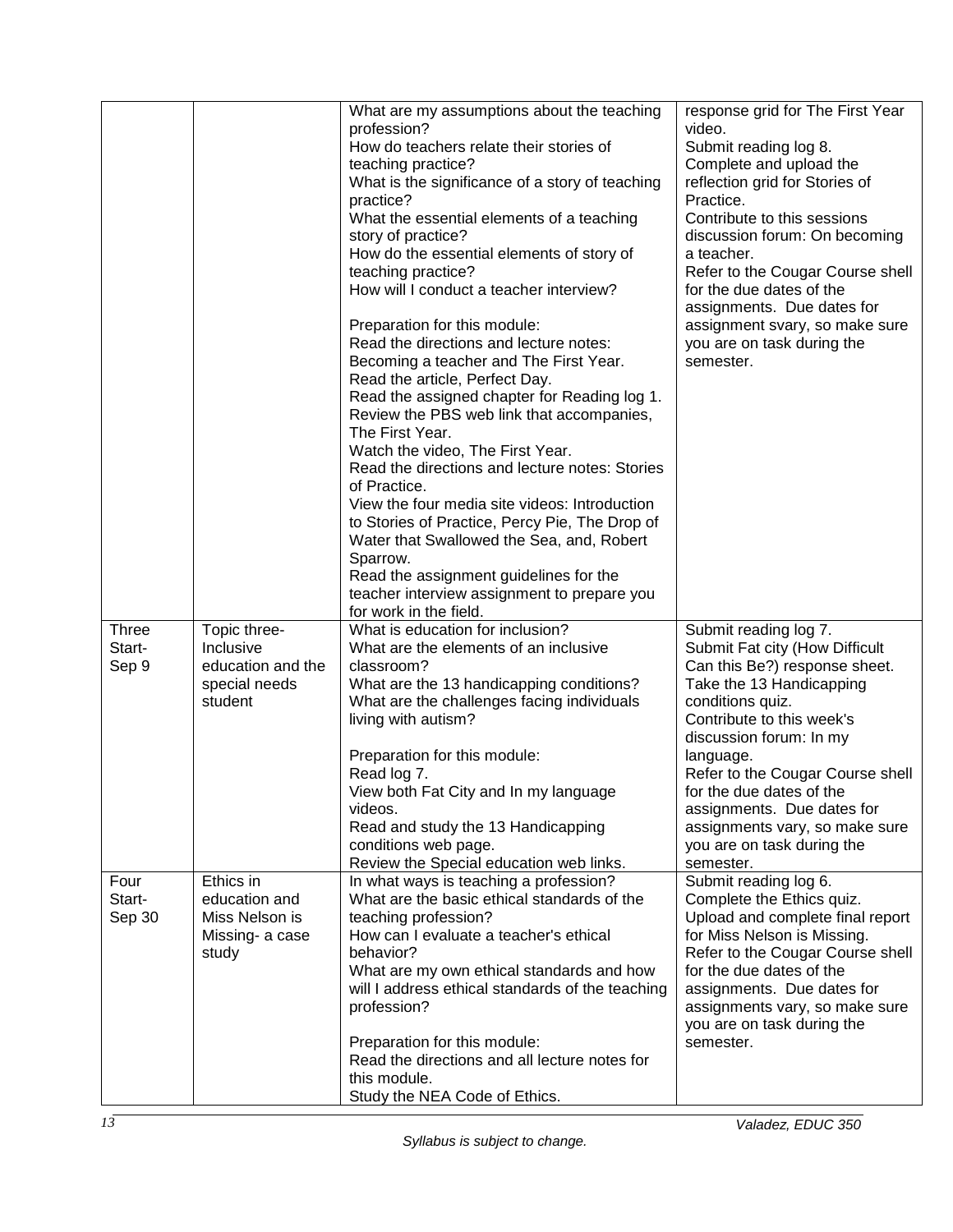|                                 |                                                                            | What are my assumptions about the teaching<br>profession?<br>How do teachers relate their stories of<br>teaching practice?<br>What is the significance of a story of teaching<br>practice?<br>What the essential elements of a teaching<br>story of practice?<br>How do the essential elements of story of<br>teaching practice?<br>How will I conduct a teacher interview?<br>Preparation for this module:<br>Read the directions and lecture notes:<br>Becoming a teacher and The First Year.<br>Read the article, Perfect Day.<br>Read the assigned chapter for Reading log 1.<br>Review the PBS web link that accompanies,<br>The First Year.<br>Watch the video, The First Year.<br>Read the directions and lecture notes: Stories<br>of Practice.<br>View the four media site videos: Introduction<br>to Stories of Practice, Percy Pie, The Drop of<br>Water that Swallowed the Sea, and, Robert<br>Sparrow.<br>Read the assignment guidelines for the<br>teacher interview assignment to prepare you<br>for work in the field. | response grid for The First Year<br>video.<br>Submit reading log 8.<br>Complete and upload the<br>reflection grid for Stories of<br>Practice.<br>Contribute to this sessions<br>discussion forum: On becoming<br>a teacher.<br>Refer to the Cougar Course shell<br>for the due dates of the<br>assignments. Due dates for<br>assignment svary, so make sure<br>you are on task during the<br>semester. |
|---------------------------------|----------------------------------------------------------------------------|----------------------------------------------------------------------------------------------------------------------------------------------------------------------------------------------------------------------------------------------------------------------------------------------------------------------------------------------------------------------------------------------------------------------------------------------------------------------------------------------------------------------------------------------------------------------------------------------------------------------------------------------------------------------------------------------------------------------------------------------------------------------------------------------------------------------------------------------------------------------------------------------------------------------------------------------------------------------------------------------------------------------------------------|--------------------------------------------------------------------------------------------------------------------------------------------------------------------------------------------------------------------------------------------------------------------------------------------------------------------------------------------------------------------------------------------------------|
| <b>Three</b><br>Start-<br>Sep 9 | Topic three-<br>Inclusive<br>education and the<br>special needs<br>student | What is education for inclusion?<br>What are the elements of an inclusive<br>classroom?<br>What are the 13 handicapping conditions?<br>What are the challenges facing individuals<br>living with autism?<br>Preparation for this module:<br>Read log 7.<br>View both Fat City and In my language<br>videos.<br>Read and study the 13 Handicapping<br>conditions web page.<br>Review the Special education web links.                                                                                                                                                                                                                                                                                                                                                                                                                                                                                                                                                                                                                   | Submit reading log 7.<br>Submit Fat city (How Difficult<br>Can this Be?) response sheet.<br>Take the 13 Handicapping<br>conditions quiz.<br>Contribute to this week's<br>discussion forum: In my<br>language.<br>Refer to the Cougar Course shell<br>for the due dates of the<br>assignments. Due dates for<br>assignments vary, so make sure<br>you are on task during the<br>semester.               |
| Four<br>Start-<br>Sep 30        | Ethics in<br>education and<br>Miss Nelson is<br>Missing- a case<br>study   | In what ways is teaching a profession?<br>What are the basic ethical standards of the<br>teaching profession?<br>How can I evaluate a teacher's ethical<br>behavior?<br>What are my own ethical standards and how<br>will I address ethical standards of the teaching<br>profession?<br>Preparation for this module:<br>Read the directions and all lecture notes for<br>this module.<br>Study the NEA Code of Ethics.                                                                                                                                                                                                                                                                                                                                                                                                                                                                                                                                                                                                                 | Submit reading log 6.<br>Complete the Ethics quiz.<br>Upload and complete final report<br>for Miss Nelson is Missing.<br>Refer to the Cougar Course shell<br>for the due dates of the<br>assignments. Due dates for<br>assignments vary, so make sure<br>you are on task during the<br>semester.                                                                                                       |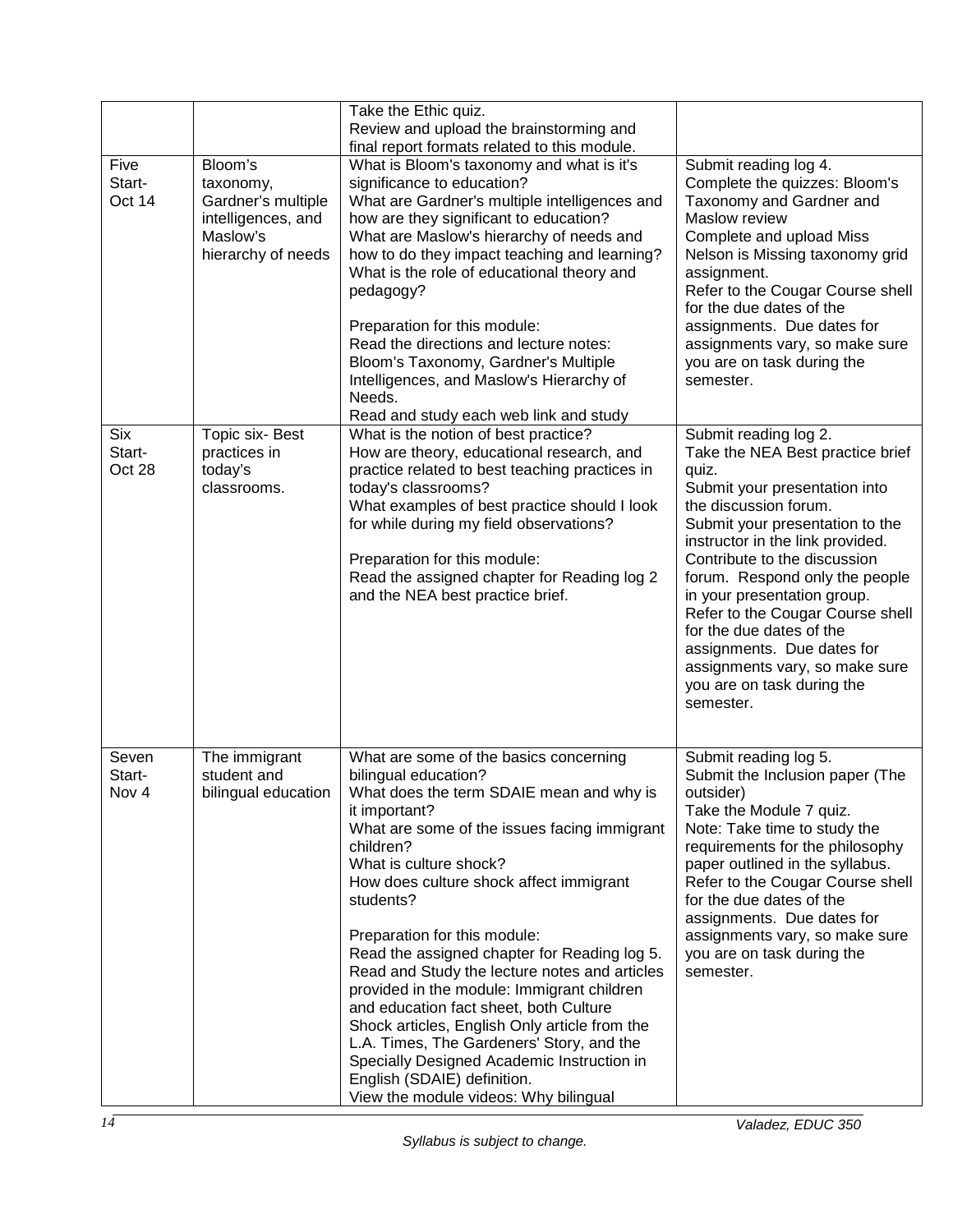|                                |                                                                                                    | Take the Ethic quiz.<br>Review and upload the brainstorming and<br>final report formats related to this module.                                                                                                                                                                                                                                                                                                                                                                                                                                                                                                                                                                                                         |                                                                                                                                                                                                                                                                                                                                                                                                                                                                                 |
|--------------------------------|----------------------------------------------------------------------------------------------------|-------------------------------------------------------------------------------------------------------------------------------------------------------------------------------------------------------------------------------------------------------------------------------------------------------------------------------------------------------------------------------------------------------------------------------------------------------------------------------------------------------------------------------------------------------------------------------------------------------------------------------------------------------------------------------------------------------------------------|---------------------------------------------------------------------------------------------------------------------------------------------------------------------------------------------------------------------------------------------------------------------------------------------------------------------------------------------------------------------------------------------------------------------------------------------------------------------------------|
| Five<br>Start-<br>Oct 14       | Bloom's<br>taxonomy,<br>Gardner's multiple<br>intelligences, and<br>Maslow's<br>hierarchy of needs | What is Bloom's taxonomy and what is it's<br>significance to education?<br>What are Gardner's multiple intelligences and<br>how are they significant to education?<br>What are Maslow's hierarchy of needs and<br>how to do they impact teaching and learning?<br>What is the role of educational theory and<br>pedagogy?<br>Preparation for this module:<br>Read the directions and lecture notes:<br>Bloom's Taxonomy, Gardner's Multiple<br>Intelligences, and Maslow's Hierarchy of<br>Needs.<br>Read and study each web link and study                                                                                                                                                                             | Submit reading log 4.<br>Complete the quizzes: Bloom's<br>Taxonomy and Gardner and<br>Maslow review<br>Complete and upload Miss<br>Nelson is Missing taxonomy grid<br>assignment.<br>Refer to the Cougar Course shell<br>for the due dates of the<br>assignments. Due dates for<br>assignments vary, so make sure<br>you are on task during the<br>semester.                                                                                                                    |
| <b>Six</b><br>Start-<br>Oct 28 | Topic six- Best<br>practices in<br>today's<br>classrooms.                                          | What is the notion of best practice?<br>How are theory, educational research, and<br>practice related to best teaching practices in<br>today's classrooms?<br>What examples of best practice should I look<br>for while during my field observations?<br>Preparation for this module:<br>Read the assigned chapter for Reading log 2<br>and the NEA best practice brief.                                                                                                                                                                                                                                                                                                                                                | Submit reading log 2.<br>Take the NEA Best practice brief<br>quiz.<br>Submit your presentation into<br>the discussion forum.<br>Submit your presentation to the<br>instructor in the link provided.<br>Contribute to the discussion<br>forum. Respond only the people<br>in your presentation group.<br>Refer to the Cougar Course shell<br>for the due dates of the<br>assignments. Due dates for<br>assignments vary, so make sure<br>you are on task during the<br>semester. |
| Seven<br>Start-<br>Nov 4       | The immigrant<br>student and<br>bilingual education                                                | What are some of the basics concerning<br>bilingual education?<br>What does the term SDAIE mean and why is<br>it important?<br>What are some of the issues facing immigrant<br>children?<br>What is culture shock?<br>How does culture shock affect immigrant<br>students?<br>Preparation for this module:<br>Read the assigned chapter for Reading log 5.<br>Read and Study the lecture notes and articles<br>provided in the module: Immigrant children<br>and education fact sheet, both Culture<br>Shock articles, English Only article from the<br>L.A. Times, The Gardeners' Story, and the<br>Specially Designed Academic Instruction in<br>English (SDAIE) definition.<br>View the module videos: Why bilingual | Submit reading log 5.<br>Submit the Inclusion paper (The<br>outsider)<br>Take the Module 7 quiz.<br>Note: Take time to study the<br>requirements for the philosophy<br>paper outlined in the syllabus.<br>Refer to the Cougar Course shell<br>for the due dates of the<br>assignments. Due dates for<br>assignments vary, so make sure<br>you are on task during the<br>semester.                                                                                               |